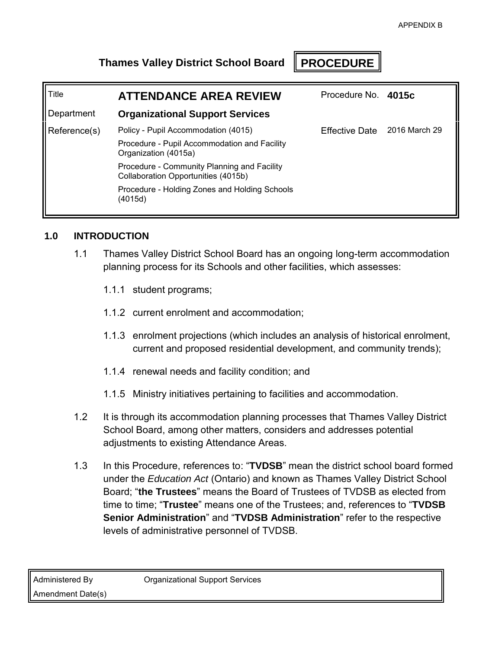# **Thames Valley District School Board PROCEDURE**

| Title        | <b>ATTENDANCE AREA REVIEW</b>                                                      | Procedure No. 4015c          |  |
|--------------|------------------------------------------------------------------------------------|------------------------------|--|
| Department   | <b>Organizational Support Services</b>                                             |                              |  |
| Reference(s) | Policy - Pupil Accommodation (4015)                                                | Effective Date 2016 March 29 |  |
|              | Procedure - Pupil Accommodation and Facility<br>Organization (4015a)               |                              |  |
|              | Procedure - Community Planning and Facility<br>Collaboration Opportunities (4015b) |                              |  |
|              | Procedure - Holding Zones and Holding Schools<br>(4015d)                           |                              |  |

### **1.0 INTRODUCTION**

- 1.1 Thames Valley District School Board has an ongoing long-term accommodation planning process for its Schools and other facilities, which assesses:
	- 1.1.1 student programs;
	- 1.1.2 current enrolment and accommodation;
	- 1.1.3 enrolment projections (which includes an analysis of historical enrolment, current and proposed residential development, and community trends);
	- 1.1.4 renewal needs and facility condition; and
	- 1.1.5 Ministry initiatives pertaining to facilities and accommodation.
- 1.2 It is through its accommodation planning processes that Thames Valley District School Board, among other matters, considers and addresses potential adjustments to existing Attendance Areas.
- 1.3 In this Procedure, references to: "**TVDSB**" mean the district school board formed under the *Education Act* (Ontario) and known as Thames Valley District School Board; "**the Trustees**" means the Board of Trustees of TVDSB as elected from time to time; "**Trustee**" means one of the Trustees; and, references to "**TVDSB Senior Administration**" and "**TVDSB Administration**" refer to the respective levels of administrative personnel of TVDSB.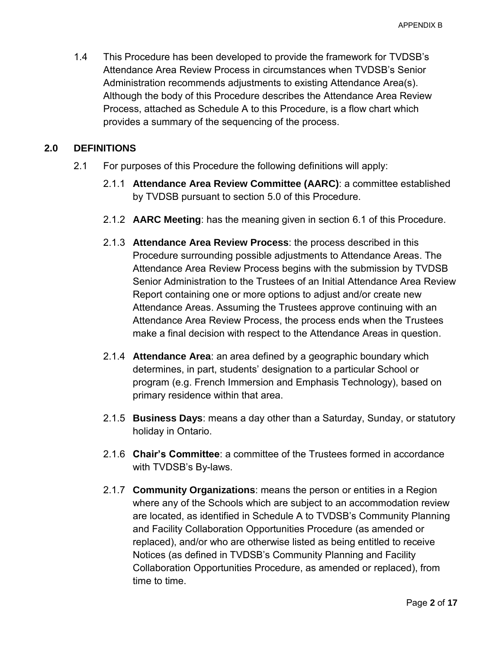1.4 This Procedure has been developed to provide the framework for TVDSB's Attendance Area Review Process in circumstances when TVDSB's Senior Administration recommends adjustments to existing Attendance Area(s). Although the body of this Procedure describes the Attendance Area Review Process, attached as Schedule A to this Procedure, is a flow chart which provides a summary of the sequencing of the process.

### **2.0 DEFINITIONS**

- 2.1 For purposes of this Procedure the following definitions will apply:
	- 2.1.1 **Attendance Area Review Committee (AARC)**: a committee established by TVDSB pursuant to section [5.0](#page-4-0) of this Procedure.
	- 2.1.2 **AARC Meeting**: has the meaning given in section [6.1](#page-6-0) of this Procedure.
	- 2.1.3 **Attendance Area Review Process**: the process described in this Procedure surrounding possible adjustments to Attendance Areas. The Attendance Area Review Process begins with the submission by TVDSB Senior Administration to the Trustees of an Initial Attendance Area Review Report containing one or more options to adjust and/or create new Attendance Areas. Assuming the Trustees approve continuing with an Attendance Area Review Process, the process ends when the Trustees make a final decision with respect to the Attendance Areas in question.
	- 2.1.4 **Attendance Area**: an area defined by a geographic boundary which determines, in part, students' designation to a particular School or program (e.g. French Immersion and Emphasis Technology), based on primary residence within that area.
	- 2.1.5 **Business Days**: means a day other than a Saturday, Sunday, or statutory holiday in Ontario.
	- 2.1.6 **Chair's Committee**: a committee of the Trustees formed in accordance with TVDSB's By-laws.
	- 2.1.7 **Community Organizations**: means the person or entities in a Region where any of the Schools which are subject to an accommodation review are located, as identified in Schedule A to TVDSB's Community Planning and Facility Collaboration Opportunities Procedure (as amended or replaced), and/or who are otherwise listed as being entitled to receive Notices (as defined in TVDSB's Community Planning and Facility Collaboration Opportunities Procedure, as amended or replaced), from time to time.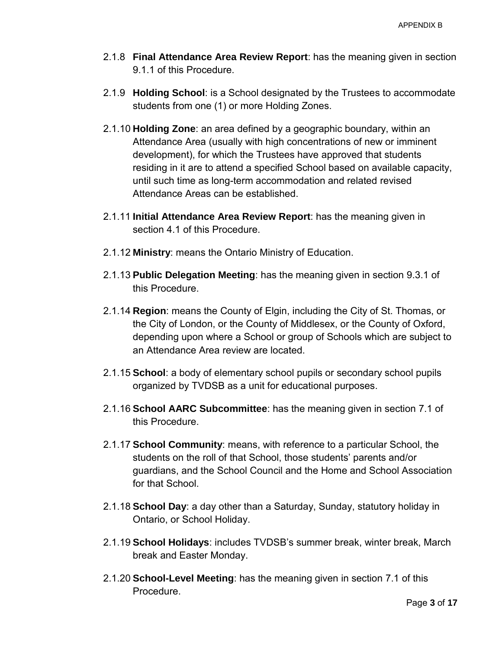- 2.1.8 **Final Attendance Area Review Report**: has the meaning given in section [9.1.1](#page-9-0) of this Procedure.
- 2.1.9 **Holding School**: is a School designated by the Trustees to accommodate students from one (1) or more Holding Zones.
- 2.1.10 **Holding Zone**: an area defined by a geographic boundary, within an Attendance Area (usually with high concentrations of new or imminent development), for which the Trustees have approved that students residing in it are to attend a specified School based on available capacity, until such time as long-term accommodation and related revised Attendance Areas can be established.
- 2.1.11 **Initial Attendance Area Review Report**: has the meaning given in section [4.1](#page-3-0) of this Procedure.
- 2.1.12 **Ministry**: means the Ontario Ministry of Education.
- 2.1.13 **Public Delegation Meeting**: has the meaning given in section [9.3.1](#page-10-0) of this Procedure.
- 2.1.14 **Region**: means the County of Elgin, including the City of St. Thomas, or the City of London, or the County of Middlesex, or the County of Oxford, depending upon where a School or group of Schools which are subject to an Attendance Area review are located.
- 2.1.15 **School**: a body of elementary school pupils or secondary school pupils organized by TVDSB as a unit for educational purposes.
- 2.1.16 **School AARC Subcommittee**: has the meaning given in section [7.1](#page-7-0) of this Procedure.
- 2.1.17 **School Community**: means, with reference to a particular School, the students on the roll of that School, those students' parents and/or guardians, and the School Council and the Home and School Association for that School.
- 2.1.18 **School Day**: a day other than a Saturday, Sunday, statutory holiday in Ontario, or School Holiday.
- 2.1.19 **School Holidays**: includes TVDSB's summer break, winter break, March break and Easter Monday.
- 2.1.20 **School-Level Meeting**: has the meaning given in section [7.1](#page-7-0) of this **Procedure**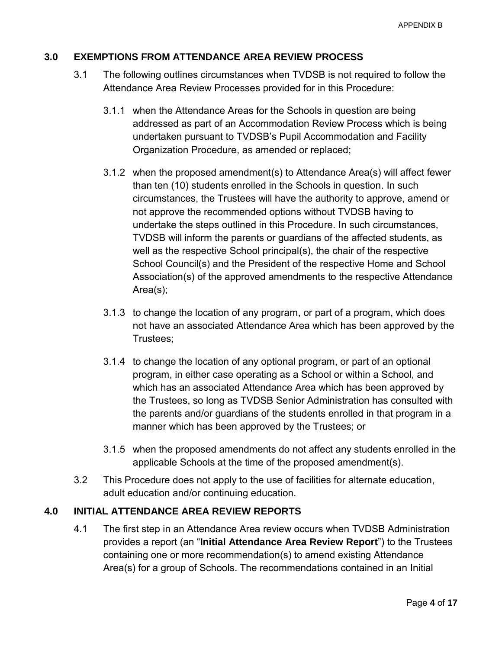### <span id="page-3-1"></span>**3.0 EXEMPTIONS FROM ATTENDANCE AREA REVIEW PROCESS**

- 3.1 The following outlines circumstances when TVDSB is not required to follow the Attendance Area Review Processes provided for in this Procedure:
	- 3.1.1 when the Attendance Areas for the Schools in question are being addressed as part of an Accommodation Review Process which is being undertaken pursuant to TVDSB's Pupil Accommodation and Facility Organization Procedure, as amended or replaced;
	- 3.1.2 when the proposed amendment(s) to Attendance Area(s) will affect fewer than ten (10) students enrolled in the Schools in question. In such circumstances, the Trustees will have the authority to approve, amend or not approve the recommended options without TVDSB having to undertake the steps outlined in this Procedure. In such circumstances, TVDSB will inform the parents or guardians of the affected students, as well as the respective School principal(s), the chair of the respective School Council(s) and the President of the respective Home and School Association(s) of the approved amendments to the respective Attendance Area(s);
	- 3.1.3 to change the location of any program, or part of a program, which does not have an associated Attendance Area which has been approved by the Trustees;
	- 3.1.4 to change the location of any optional program, or part of an optional program, in either case operating as a School or within a School, and which has an associated Attendance Area which has been approved by the Trustees, so long as TVDSB Senior Administration has consulted with the parents and/or guardians of the students enrolled in that program in a manner which has been approved by the Trustees; or
	- 3.1.5 when the proposed amendments do not affect any students enrolled in the applicable Schools at the time of the proposed amendment(s).
- 3.2 This Procedure does not apply to the use of facilities for alternate education, adult education and/or continuing education.

### <span id="page-3-0"></span>**4.0 INITIAL ATTENDANCE AREA REVIEW REPORTS**

4.1 The first step in an Attendance Area review occurs when TVDSB Administration provides a report (an "**Initial Attendance Area Review Report**") to the Trustees containing one or more recommendation(s) to amend existing Attendance Area(s) for a group of Schools. The recommendations contained in an Initial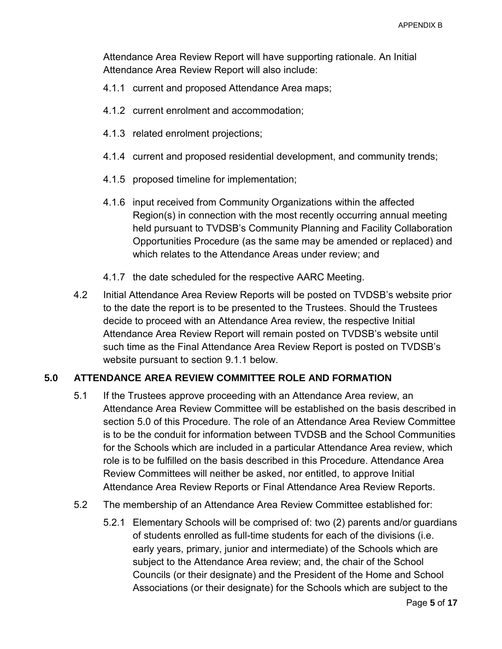Attendance Area Review Report will have supporting rationale. An Initial Attendance Area Review Report will also include:

- 4.1.1 current and proposed Attendance Area maps;
- 4.1.2 current enrolment and accommodation;
- 4.1.3 related enrolment projections;
- 4.1.4 current and proposed residential development, and community trends;
- 4.1.5 proposed timeline for implementation;
- 4.1.6 input received from Community Organizations within the affected Region(s) in connection with the most recently occurring annual meeting held pursuant to TVDSB's Community Planning and Facility Collaboration Opportunities Procedure (as the same may be amended or replaced) and which relates to the Attendance Areas under review; and
- 4.1.7 the date scheduled for the respective AARC Meeting.
- 4.2 Initial Attendance Area Review Reports will be posted on TVDSB's website prior to the date the report is to be presented to the Trustees. Should the Trustees decide to proceed with an Attendance Area review, the respective Initial Attendance Area Review Report will remain posted on TVDSB's website until such time as the Final Attendance Area Review Report is posted on TVDSB's website pursuant to section [9.1.1](#page-9-0) below.

### <span id="page-4-0"></span>**5.0 ATTENDANCE AREA REVIEW COMMITTEE ROLE AND FORMATION**

- 5.1 If the Trustees approve proceeding with an Attendance Area review, an Attendance Area Review Committee will be established on the basis described in section [5.0](#page-4-0) of this Procedure. The role of an Attendance Area Review Committee is to be the conduit for information between TVDSB and the School Communities for the Schools which are included in a particular Attendance Area review, which role is to be fulfilled on the basis described in this Procedure. Attendance Area Review Committees will neither be asked, nor entitled, to approve Initial Attendance Area Review Reports or Final Attendance Area Review Reports.
- <span id="page-4-2"></span><span id="page-4-1"></span>5.2 The membership of an Attendance Area Review Committee established for:
	- 5.2.1 Elementary Schools will be comprised of: two (2) parents and/or guardians of students enrolled as full-time students for each of the divisions (i.e. early years, primary, junior and intermediate) of the Schools which are subject to the Attendance Area review; and, the chair of the School Councils (or their designate) and the President of the Home and School Associations (or their designate) for the Schools which are subject to the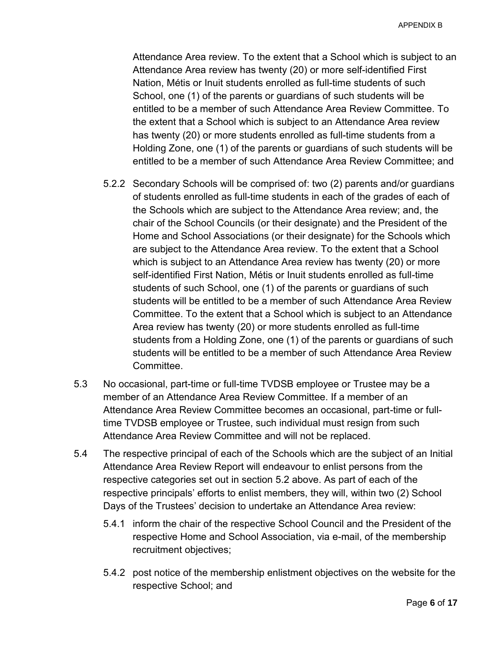Attendance Area review. To the extent that a School which is subject to an Attendance Area review has twenty (20) or more self-identified First Nation, Métis or Inuit students enrolled as full-time students of such School, one (1) of the parents or guardians of such students will be entitled to be a member of such Attendance Area Review Committee. To the extent that a School which is subject to an Attendance Area review has twenty (20) or more students enrolled as full-time students from a Holding Zone, one (1) of the parents or guardians of such students will be entitled to be a member of such Attendance Area Review Committee; and

- <span id="page-5-0"></span>5.2.2 Secondary Schools will be comprised of: two (2) parents and/or guardians of students enrolled as full-time students in each of the grades of each of the Schools which are subject to the Attendance Area review; and, the chair of the School Councils (or their designate) and the President of the Home and School Associations (or their designate) for the Schools which are subject to the Attendance Area review. To the extent that a School which is subject to an Attendance Area review has twenty (20) or more self-identified First Nation, Métis or Inuit students enrolled as full-time students of such School, one (1) of the parents or guardians of such students will be entitled to be a member of such Attendance Area Review Committee. To the extent that a School which is subject to an Attendance Area review has twenty (20) or more students enrolled as full-time students from a Holding Zone, one (1) of the parents or guardians of such students will be entitled to be a member of such Attendance Area Review Committee.
- 5.3 No occasional, part-time or full-time TVDSB employee or Trustee may be a member of an Attendance Area Review Committee. If a member of an Attendance Area Review Committee becomes an occasional, part-time or fulltime TVDSB employee or Trustee, such individual must resign from such Attendance Area Review Committee and will not be replaced.
- 5.4 The respective principal of each of the Schools which are the subject of an Initial Attendance Area Review Report will endeavour to enlist persons from the respective categories set out in section [5.2](#page-4-1) above. As part of each of the respective principals' efforts to enlist members, they will, within two (2) School Days of the Trustees' decision to undertake an Attendance Area review:
	- 5.4.1 inform the chair of the respective School Council and the President of the respective Home and School Association, via e-mail, of the membership recruitment objectives;
	- 5.4.2 post notice of the membership enlistment objectives on the website for the respective School; and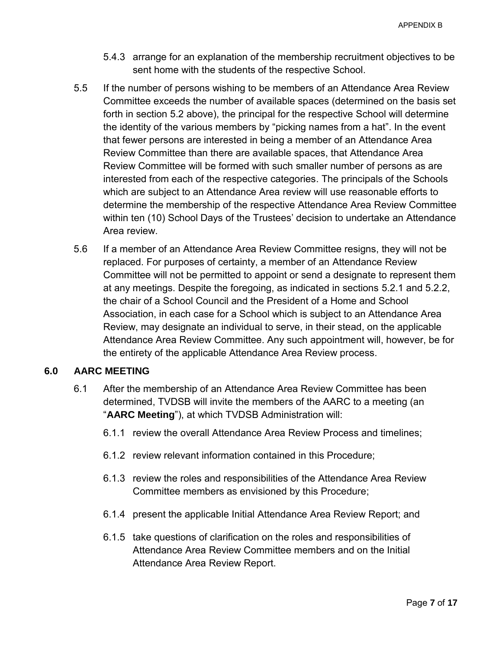- 5.4.3 arrange for an explanation of the membership recruitment objectives to be sent home with the students of the respective School.
- 5.5 If the number of persons wishing to be members of an Attendance Area Review Committee exceeds the number of available spaces (determined on the basis set forth in section [5.2](#page-4-1) above), the principal for the respective School will determine the identity of the various members by "picking names from a hat". In the event that fewer persons are interested in being a member of an Attendance Area Review Committee than there are available spaces, that Attendance Area Review Committee will be formed with such smaller number of persons as are interested from each of the respective categories. The principals of the Schools which are subject to an Attendance Area review will use reasonable efforts to determine the membership of the respective Attendance Area Review Committee within ten (10) School Days of the Trustees' decision to undertake an Attendance Area review.
- 5.6 If a member of an Attendance Area Review Committee resigns, they will not be replaced. For purposes of certainty, a member of an Attendance Review Committee will not be permitted to appoint or send a designate to represent them at any meetings. Despite the foregoing, as indicated in sections [5.2.1](#page-4-2) and [5.2.2,](#page-5-0) the chair of a School Council and the President of a Home and School Association, in each case for a School which is subject to an Attendance Area Review, may designate an individual to serve, in their stead, on the applicable Attendance Area Review Committee. Any such appointment will, however, be for the entirety of the applicable Attendance Area Review process.

### <span id="page-6-0"></span>**6.0 AARC MEETING**

- 6.1 After the membership of an Attendance Area Review Committee has been determined, TVDSB will invite the members of the AARC to a meeting (an "**AARC Meeting**"), at which TVDSB Administration will:
	- 6.1.1 review the overall Attendance Area Review Process and timelines;
	- 6.1.2 review relevant information contained in this Procedure;
	- 6.1.3 review the roles and responsibilities of the Attendance Area Review Committee members as envisioned by this Procedure;
	- 6.1.4 present the applicable Initial Attendance Area Review Report; and
	- 6.1.5 take questions of clarification on the roles and responsibilities of Attendance Area Review Committee members and on the Initial Attendance Area Review Report.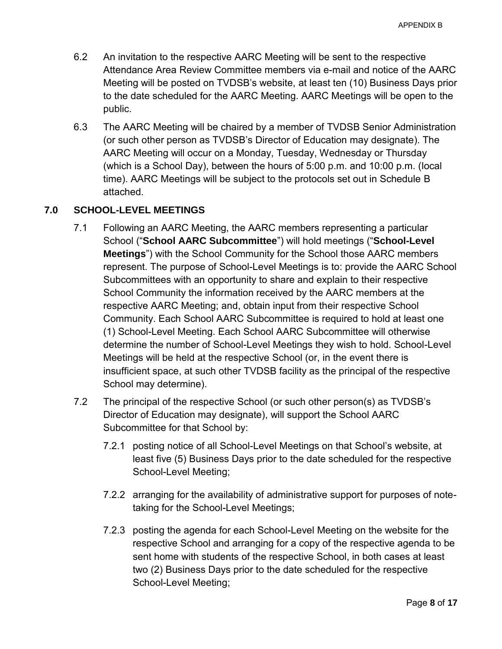- 6.2 An invitation to the respective AARC Meeting will be sent to the respective Attendance Area Review Committee members via e-mail and notice of the AARC Meeting will be posted on TVDSB's website, at least ten (10) Business Days prior to the date scheduled for the AARC Meeting. AARC Meetings will be open to the public.
- 6.3 The AARC Meeting will be chaired by a member of TVDSB Senior Administration (or such other person as TVDSB's Director of Education may designate). The AARC Meeting will occur on a Monday, Tuesday, Wednesday or Thursday (which is a School Day), between the hours of 5:00 p.m. and 10:00 p.m. (local time). AARC Meetings will be subject to the protocols set out in Schedule B attached.

# <span id="page-7-0"></span>**7.0 SCHOOL-LEVEL MEETINGS**

- 7.1 Following an AARC Meeting, the AARC members representing a particular School ("**School AARC Subcommittee**") will hold meetings ("**School-Level Meetings**") with the School Community for the School those AARC members represent. The purpose of School-Level Meetings is to: provide the AARC School Subcommittees with an opportunity to share and explain to their respective School Community the information received by the AARC members at the respective AARC Meeting; and, obtain input from their respective School Community. Each School AARC Subcommittee is required to hold at least one (1) School-Level Meeting. Each School AARC Subcommittee will otherwise determine the number of School-Level Meetings they wish to hold. School-Level Meetings will be held at the respective School (or, in the event there is insufficient space, at such other TVDSB facility as the principal of the respective School may determine).
- 7.2 The principal of the respective School (or such other person(s) as TVDSB's Director of Education may designate), will support the School AARC Subcommittee for that School by:
	- 7.2.1 posting notice of all School-Level Meetings on that School's website, at least five (5) Business Days prior to the date scheduled for the respective School-Level Meeting;
	- 7.2.2 arranging for the availability of administrative support for purposes of notetaking for the School-Level Meetings;
	- 7.2.3 posting the agenda for each School-Level Meeting on the website for the respective School and arranging for a copy of the respective agenda to be sent home with students of the respective School, in both cases at least two (2) Business Days prior to the date scheduled for the respective School-Level Meeting;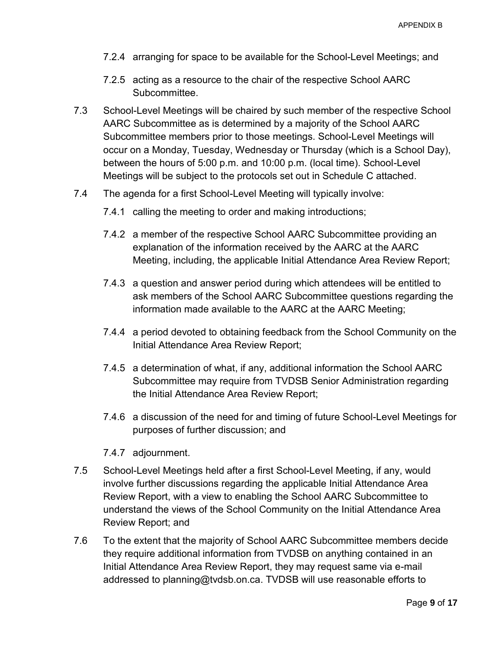- 7.2.4 arranging for space to be available for the School-Level Meetings; and
- 7.2.5 acting as a resource to the chair of the respective School AARC Subcommittee.
- 7.3 School-Level Meetings will be chaired by such member of the respective School AARC Subcommittee as is determined by a majority of the School AARC Subcommittee members prior to those meetings. School-Level Meetings will occur on a Monday, Tuesday, Wednesday or Thursday (which is a School Day), between the hours of 5:00 p.m. and 10:00 p.m. (local time). School-Level Meetings will be subject to the protocols set out in Schedule C attached.
- 7.4 The agenda for a first School-Level Meeting will typically involve:
	- 7.4.1 calling the meeting to order and making introductions;
	- 7.4.2 a member of the respective School AARC Subcommittee providing an explanation of the information received by the AARC at the AARC Meeting, including, the applicable Initial Attendance Area Review Report;
	- 7.4.3 a question and answer period during which attendees will be entitled to ask members of the School AARC Subcommittee questions regarding the information made available to the AARC at the AARC Meeting;
	- 7.4.4 a period devoted to obtaining feedback from the School Community on the Initial Attendance Area Review Report;
	- 7.4.5 a determination of what, if any, additional information the School AARC Subcommittee may require from TVDSB Senior Administration regarding the Initial Attendance Area Review Report;
	- 7.4.6 a discussion of the need for and timing of future School-Level Meetings for purposes of further discussion; and
	- 7.4.7 adjournment.
- 7.5 School-Level Meetings held after a first School-Level Meeting, if any, would involve further discussions regarding the applicable Initial Attendance Area Review Report, with a view to enabling the School AARC Subcommittee to understand the views of the School Community on the Initial Attendance Area Review Report; and
- 7.6 To the extent that the majority of School AARC Subcommittee members decide they require additional information from TVDSB on anything contained in an Initial Attendance Area Review Report, they may request same via e-mail addressed to planning@tvdsb.on.ca. TVDSB will use reasonable efforts to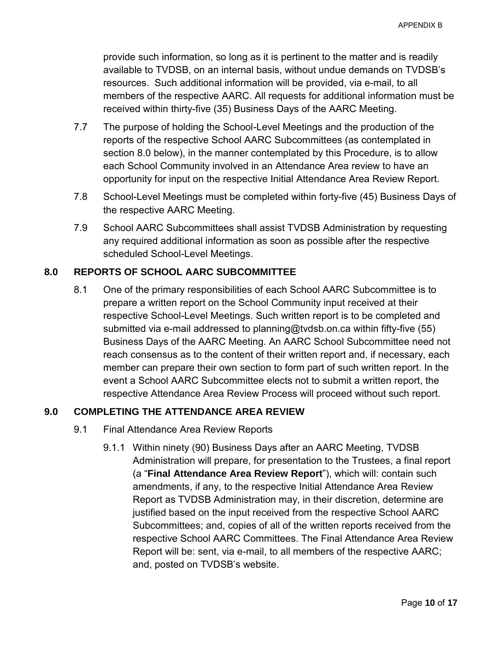provide such information, so long as it is pertinent to the matter and is readily available to TVDSB, on an internal basis, without undue demands on TVDSB's resources. Such additional information will be provided, via e-mail, to all members of the respective AARC. All requests for additional information must be received within thirty-five (35) Business Days of the AARC Meeting.

- 7.7 The purpose of holding the School-Level Meetings and the production of the reports of the respective School AARC Subcommittees (as contemplated in section [8.0](#page-9-1) below), in the manner contemplated by this Procedure, is to allow each School Community involved in an Attendance Area review to have an opportunity for input on the respective Initial Attendance Area Review Report.
- 7.8 School-Level Meetings must be completed within forty-five (45) Business Days of the respective AARC Meeting.
- 7.9 School AARC Subcommittees shall assist TVDSB Administration by requesting any required additional information as soon as possible after the respective scheduled School-Level Meetings.

# <span id="page-9-1"></span>**8.0 REPORTS OF SCHOOL AARC SUBCOMMITTEE**

8.1 One of the primary responsibilities of each School AARC Subcommittee is to prepare a written report on the School Community input received at their respective School-Level Meetings. Such written report is to be completed and submitted via e-mail addressed to planning@tvdsb.on.ca within fifty-five (55) Business Days of the AARC Meeting. An AARC School Subcommittee need not reach consensus as to the content of their written report and, if necessary, each member can prepare their own section to form part of such written report. In the event a School AARC Subcommittee elects not to submit a written report, the respective Attendance Area Review Process will proceed without such report.

### <span id="page-9-0"></span>**9.0 COMPLETING THE ATTENDANCE AREA REVIEW**

- 9.1 Final Attendance Area Review Reports
	- 9.1.1 Within ninety (90) Business Days after an AARC Meeting, TVDSB Administration will prepare, for presentation to the Trustees, a final report (a "**Final Attendance Area Review Report**"), which will: contain such amendments, if any, to the respective Initial Attendance Area Review Report as TVDSB Administration may, in their discretion, determine are justified based on the input received from the respective School AARC Subcommittees; and, copies of all of the written reports received from the respective School AARC Committees. The Final Attendance Area Review Report will be: sent, via e-mail, to all members of the respective AARC; and, posted on TVDSB's website.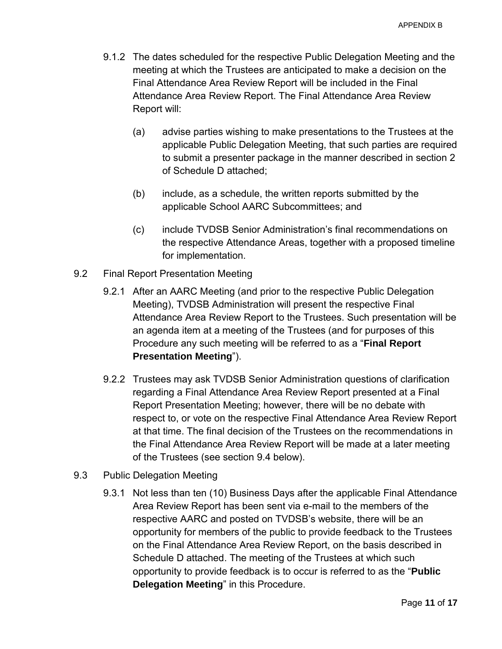- 9.1.2 The dates scheduled for the respective Public Delegation Meeting and the meeting at which the Trustees are anticipated to make a decision on the Final Attendance Area Review Report will be included in the Final Attendance Area Review Report. The Final Attendance Area Review Report will:
	- (a) advise parties wishing to make presentations to the Trustees at the applicable Public Delegation Meeting, that such parties are required to submit a presenter package in the manner described in section 2 of Schedule D attached;
	- (b) include, as a schedule, the written reports submitted by the applicable School AARC Subcommittees; and
	- (c) include TVDSB Senior Administration's final recommendations on the respective Attendance Areas, together with a proposed timeline for implementation.
- 9.2 Final Report Presentation Meeting
	- 9.2.1 After an AARC Meeting (and prior to the respective Public Delegation Meeting), TVDSB Administration will present the respective Final Attendance Area Review Report to the Trustees. Such presentation will be an agenda item at a meeting of the Trustees (and for purposes of this Procedure any such meeting will be referred to as a "**Final Report Presentation Meeting**").
	- 9.2.2 Trustees may ask TVDSB Senior Administration questions of clarification regarding a Final Attendance Area Review Report presented at a Final Report Presentation Meeting; however, there will be no debate with respect to, or vote on the respective Final Attendance Area Review Report at that time. The final decision of the Trustees on the recommendations in the Final Attendance Area Review Report will be made at a later meeting of the Trustees (see section [9.4](#page-11-0) below).
- <span id="page-10-0"></span>9.3 Public Delegation Meeting
	- 9.3.1 Not less than ten (10) Business Days after the applicable Final Attendance Area Review Report has been sent via e-mail to the members of the respective AARC and posted on TVDSB's website, there will be an opportunity for members of the public to provide feedback to the Trustees on the Final Attendance Area Review Report, on the basis described in Schedule D attached. The meeting of the Trustees at which such opportunity to provide feedback is to occur is referred to as the "**Public Delegation Meeting**" in this Procedure.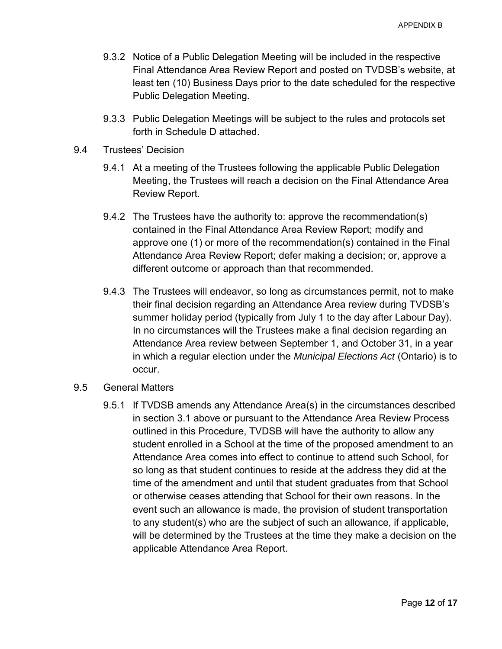- 9.3.2 Notice of a Public Delegation Meeting will be included in the respective Final Attendance Area Review Report and posted on TVDSB's website, at least ten (10) Business Days prior to the date scheduled for the respective Public Delegation Meeting.
- 9.3.3 Public Delegation Meetings will be subject to the rules and protocols set forth in Schedule D attached.
- <span id="page-11-0"></span>9.4 Trustees' Decision
	- 9.4.1 At a meeting of the Trustees following the applicable Public Delegation Meeting, the Trustees will reach a decision on the Final Attendance Area Review Report.
	- 9.4.2 The Trustees have the authority to: approve the recommendation(s) contained in the Final Attendance Area Review Report; modify and approve one (1) or more of the recommendation(s) contained in the Final Attendance Area Review Report; defer making a decision; or, approve a different outcome or approach than that recommended.
	- 9.4.3 The Trustees will endeavor, so long as circumstances permit, not to make their final decision regarding an Attendance Area review during TVDSB's summer holiday period (typically from July 1 to the day after Labour Day). In no circumstances will the Trustees make a final decision regarding an Attendance Area review between September 1, and October 31, in a year in which a regular election under the *Municipal Elections Act* (Ontario) is to occur.
- 9.5 General Matters
	- 9.5.1 If TVDSB amends any Attendance Area(s) in the circumstances described in section [3.1](#page-3-1) above or pursuant to the Attendance Area Review Process outlined in this Procedure, TVDSB will have the authority to allow any student enrolled in a School at the time of the proposed amendment to an Attendance Area comes into effect to continue to attend such School, for so long as that student continues to reside at the address they did at the time of the amendment and until that student graduates from that School or otherwise ceases attending that School for their own reasons. In the event such an allowance is made, the provision of student transportation to any student(s) who are the subject of such an allowance, if applicable, will be determined by the Trustees at the time they make a decision on the applicable Attendance Area Report.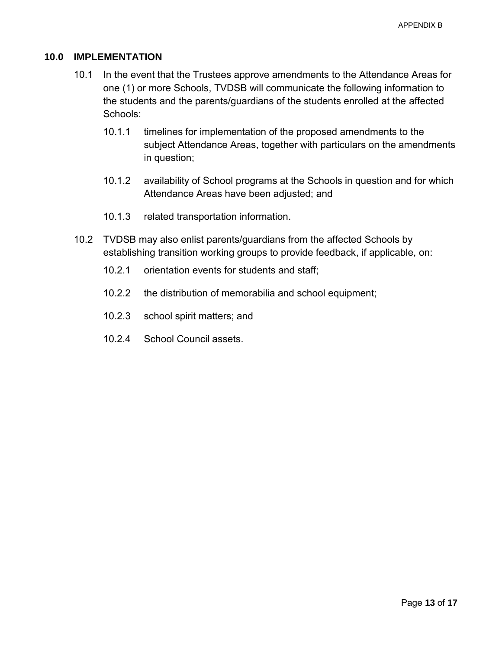#### **10.0 IMPLEMENTATION**

- 10.1 In the event that the Trustees approve amendments to the Attendance Areas for one (1) or more Schools, TVDSB will communicate the following information to the students and the parents/guardians of the students enrolled at the affected Schools:
	- 10.1.1 timelines for implementation of the proposed amendments to the subject Attendance Areas, together with particulars on the amendments in question;
	- 10.1.2 availability of School programs at the Schools in question and for which Attendance Areas have been adjusted; and
	- 10.1.3 related transportation information.
- 10.2 TVDSB may also enlist parents/guardians from the affected Schools by establishing transition working groups to provide feedback, if applicable, on:
	- 10.2.1 orientation events for students and staff;
	- 10.2.2 the distribution of memorabilia and school equipment;
	- 10.2.3 school spirit matters; and
	- 10.2.4 School Council assets.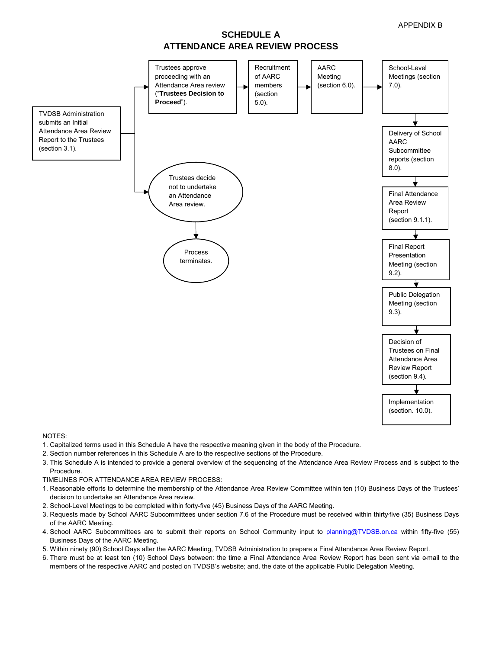### **SCHEDULE A ATTENDANCE AREA REVIEW PROCESS**



NOTES:

- 1. Capitalized terms used in this Schedule A have the respective meaning given in the body of the Procedure.
- 2. Section number references in this Schedule A are to the respective sections of the Procedure.
- 3. This Schedule A is intended to provide a general overview of the sequencing of the Attendance Area Review Process and is subject to the Procedure.
- TIMELINES FOR ATTENDANCE AREA REVIEW PROCESS:
- 1. Reasonable efforts to determine the membership of the Attendance Area Review Committee within ten (10) Business Days of the Trustees' decision to undertake an Attendance Area review.
- 2. School-Level Meetings to be completed within forty-five (45) Business Days of the AARC Meeting.
- 3. Requests made by School AARC Subcommittees under section 7.6 of the Procedure must be received within thirty-five (35) Business Days of the AARC Meeting.
- 4. School AARC Subcommittees are to submit their reports on School Community input to [planning@TVDSB.on.ca](mailto:planning@TVDSB.on.ca) within fifty-five (55) Business Days of the AARC Meeting.
- 5. Within ninety (90) School Days after the AARC Meeting, TVDSB Administration to prepare a Final Attendance Area Review Report.
- 6. There must be at least ten (10) School Days between: the time a Final Attendance Area Review Report has been sent via e-mail to the members of the respective AARC and posted on TVDSB's website; and, the date of the applicable Public Delegation Meeting.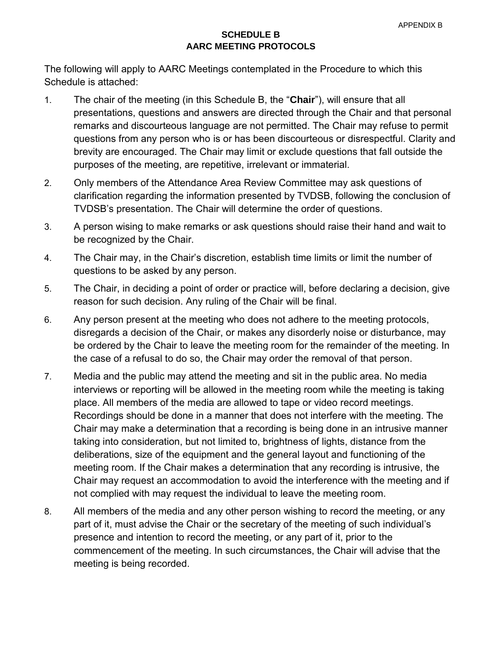### **SCHEDULE B AARC MEETING PROTOCOLS**

The following will apply to AARC Meetings contemplated in the Procedure to which this Schedule is attached:

- 1. The chair of the meeting (in this Schedule B, the "**Chair**"), will ensure that all presentations, questions and answers are directed through the Chair and that personal remarks and discourteous language are not permitted. The Chair may refuse to permit questions from any person who is or has been discourteous or disrespectful. Clarity and brevity are encouraged. The Chair may limit or exclude questions that fall outside the purposes of the meeting, are repetitive, irrelevant or immaterial.
- 2. Only members of the Attendance Area Review Committee may ask questions of clarification regarding the information presented by TVDSB, following the conclusion of TVDSB's presentation. The Chair will determine the order of questions.
- 3. A person wising to make remarks or ask questions should raise their hand and wait to be recognized by the Chair.
- 4. The Chair may, in the Chair's discretion, establish time limits or limit the number of questions to be asked by any person.
- 5. The Chair, in deciding a point of order or practice will, before declaring a decision, give reason for such decision. Any ruling of the Chair will be final.
- 6. Any person present at the meeting who does not adhere to the meeting protocols, disregards a decision of the Chair, or makes any disorderly noise or disturbance, may be ordered by the Chair to leave the meeting room for the remainder of the meeting. In the case of a refusal to do so, the Chair may order the removal of that person.
- 7. Media and the public may attend the meeting and sit in the public area. No media interviews or reporting will be allowed in the meeting room while the meeting is taking place. All members of the media are allowed to tape or video record meetings. Recordings should be done in a manner that does not interfere with the meeting. The Chair may make a determination that a recording is being done in an intrusive manner taking into consideration, but not limited to, brightness of lights, distance from the deliberations, size of the equipment and the general layout and functioning of the meeting room. If the Chair makes a determination that any recording is intrusive, the Chair may request an accommodation to avoid the interference with the meeting and if not complied with may request the individual to leave the meeting room.
- 8. All members of the media and any other person wishing to record the meeting, or any part of it, must advise the Chair or the secretary of the meeting of such individual's presence and intention to record the meeting, or any part of it, prior to the commencement of the meeting. In such circumstances, the Chair will advise that the meeting is being recorded.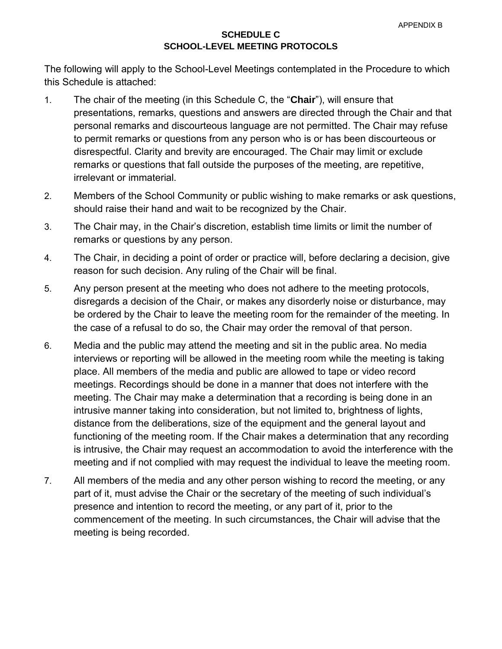#### **SCHEDULE C SCHOOL-LEVEL MEETING PROTOCOLS**

The following will apply to the School-Level Meetings contemplated in the Procedure to which this Schedule is attached:

- 1. The chair of the meeting (in this Schedule C, the "**Chair**"), will ensure that presentations, remarks, questions and answers are directed through the Chair and that personal remarks and discourteous language are not permitted. The Chair may refuse to permit remarks or questions from any person who is or has been discourteous or disrespectful. Clarity and brevity are encouraged. The Chair may limit or exclude remarks or questions that fall outside the purposes of the meeting, are repetitive, irrelevant or immaterial.
- 2. Members of the School Community or public wishing to make remarks or ask questions, should raise their hand and wait to be recognized by the Chair.
- 3. The Chair may, in the Chair's discretion, establish time limits or limit the number of remarks or questions by any person.
- 4. The Chair, in deciding a point of order or practice will, before declaring a decision, give reason for such decision. Any ruling of the Chair will be final.
- 5. Any person present at the meeting who does not adhere to the meeting protocols, disregards a decision of the Chair, or makes any disorderly noise or disturbance, may be ordered by the Chair to leave the meeting room for the remainder of the meeting. In the case of a refusal to do so, the Chair may order the removal of that person.
- 6. Media and the public may attend the meeting and sit in the public area. No media interviews or reporting will be allowed in the meeting room while the meeting is taking place. All members of the media and public are allowed to tape or video record meetings. Recordings should be done in a manner that does not interfere with the meeting. The Chair may make a determination that a recording is being done in an intrusive manner taking into consideration, but not limited to, brightness of lights, distance from the deliberations, size of the equipment and the general layout and functioning of the meeting room. If the Chair makes a determination that any recording is intrusive, the Chair may request an accommodation to avoid the interference with the meeting and if not complied with may request the individual to leave the meeting room.
- 7. All members of the media and any other person wishing to record the meeting, or any part of it, must advise the Chair or the secretary of the meeting of such individual's presence and intention to record the meeting, or any part of it, prior to the commencement of the meeting. In such circumstances, the Chair will advise that the meeting is being recorded.